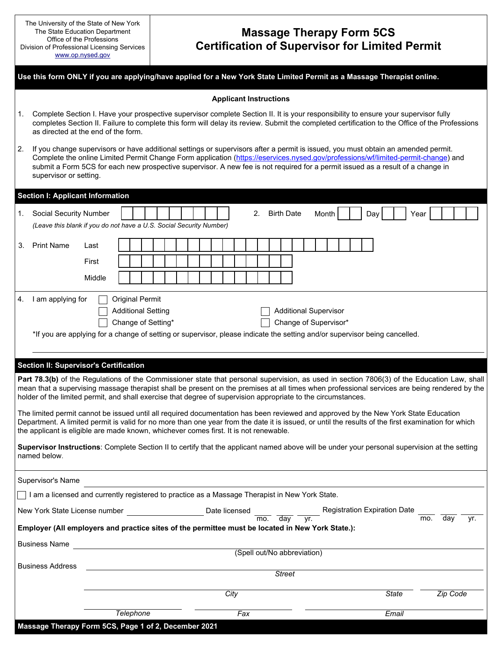## **Massage Therapy Form 5CS Certification of Supervisor for Limited Permit**

|    | Use this form ONLY if you are applying/have applied for a New York State Limited Permit as a Massage Therapist online.                                                                                                                                                                                                                                                                                                                                                                                                                                                                                                                                                                                                                                                                                                                                                                                                                                               |        |                                                                                                                       |  |               |                               |     |                             |                   |     |                                                       |  |     |              |                                     |      |          |     |
|----|----------------------------------------------------------------------------------------------------------------------------------------------------------------------------------------------------------------------------------------------------------------------------------------------------------------------------------------------------------------------------------------------------------------------------------------------------------------------------------------------------------------------------------------------------------------------------------------------------------------------------------------------------------------------------------------------------------------------------------------------------------------------------------------------------------------------------------------------------------------------------------------------------------------------------------------------------------------------|--------|-----------------------------------------------------------------------------------------------------------------------|--|---------------|-------------------------------|-----|-----------------------------|-------------------|-----|-------------------------------------------------------|--|-----|--------------|-------------------------------------|------|----------|-----|
|    |                                                                                                                                                                                                                                                                                                                                                                                                                                                                                                                                                                                                                                                                                                                                                                                                                                                                                                                                                                      |        |                                                                                                                       |  |               | <b>Applicant Instructions</b> |     |                             |                   |     |                                                       |  |     |              |                                     |      |          |     |
| 1. | Complete Section I. Have your prospective supervisor complete Section II. It is your responsibility to ensure your supervisor fully<br>completes Section II. Failure to complete this form will delay its review. Submit the completed certification to the Office of the Professions<br>as directed at the end of the form.                                                                                                                                                                                                                                                                                                                                                                                                                                                                                                                                                                                                                                         |        |                                                                                                                       |  |               |                               |     |                             |                   |     |                                                       |  |     |              |                                     |      |          |     |
| 2. | If you change supervisors or have additional settings or supervisors after a permit is issued, you must obtain an amended permit.<br>Complete the online Limited Permit Change Form application (https://eservices.nysed.gov/professions/wf/limited-permit-change) and<br>submit a Form 5CS for each new prospective supervisor. A new fee is not required for a permit issued as a result of a change in<br>supervisor or setting.                                                                                                                                                                                                                                                                                                                                                                                                                                                                                                                                  |        |                                                                                                                       |  |               |                               |     |                             |                   |     |                                                       |  |     |              |                                     |      |          |     |
|    | <b>Section I: Applicant Information</b>                                                                                                                                                                                                                                                                                                                                                                                                                                                                                                                                                                                                                                                                                                                                                                                                                                                                                                                              |        |                                                                                                                       |  |               |                               |     |                             |                   |     |                                                       |  |     |              |                                     |      |          |     |
| 1. | <b>Social Security Number</b><br>(Leave this blank if you do not have a U.S. Social Security Number)                                                                                                                                                                                                                                                                                                                                                                                                                                                                                                                                                                                                                                                                                                                                                                                                                                                                 |        |                                                                                                                       |  |               |                               |     | 2.                          | <b>Birth Date</b> |     | Month                                                 |  | Day |              |                                     | Year |          |     |
| 3. | <b>Print Name</b>                                                                                                                                                                                                                                                                                                                                                                                                                                                                                                                                                                                                                                                                                                                                                                                                                                                                                                                                                    | Last   |                                                                                                                       |  |               |                               |     |                             |                   |     |                                                       |  |     |              |                                     |      |          |     |
|    |                                                                                                                                                                                                                                                                                                                                                                                                                                                                                                                                                                                                                                                                                                                                                                                                                                                                                                                                                                      | First  |                                                                                                                       |  |               |                               |     |                             |                   |     |                                                       |  |     |              |                                     |      |          |     |
|    |                                                                                                                                                                                                                                                                                                                                                                                                                                                                                                                                                                                                                                                                                                                                                                                                                                                                                                                                                                      | Middle |                                                                                                                       |  |               |                               |     |                             |                   |     |                                                       |  |     |              |                                     |      |          |     |
| 4. | I am applying for<br>*If you are applying for a change of setting or supervisor, please indicate the setting and/or supervisor being cancelled.                                                                                                                                                                                                                                                                                                                                                                                                                                                                                                                                                                                                                                                                                                                                                                                                                      |        | <b>Original Permit</b><br><b>Additional Setting</b><br>Change of Setting*                                             |  |               |                               |     |                             |                   |     | <b>Additional Supervisor</b><br>Change of Supervisor* |  |     |              |                                     |      |          |     |
|    | <b>Section II: Supervisor's Certification</b>                                                                                                                                                                                                                                                                                                                                                                                                                                                                                                                                                                                                                                                                                                                                                                                                                                                                                                                        |        |                                                                                                                       |  |               |                               |     |                             |                   |     |                                                       |  |     |              |                                     |      |          |     |
|    | Part 78.3(b) of the Regulations of the Commissioner state that personal supervision, as used in section 7806(3) of the Education Law, shall<br>mean that a supervising massage therapist shall be present on the premises at all times when professional services are being rendered by the<br>holder of the limited permit, and shall exercise that degree of supervision appropriate to the circumstances.<br>The limited permit cannot be issued until all required documentation has been reviewed and approved by the New York State Education<br>Department. A limited permit is valid for no more than one year from the date it is issued, or until the results of the first examination for which<br>the applicant is eligible are made known, whichever comes first. It is not renewable.<br>Supervisor Instructions: Complete Section II to certify that the applicant named above will be under your personal supervision at the setting<br>named below. |        |                                                                                                                       |  |               |                               |     |                             |                   |     |                                                       |  |     |              |                                     |      |          |     |
|    | Supervisor's Name                                                                                                                                                                                                                                                                                                                                                                                                                                                                                                                                                                                                                                                                                                                                                                                                                                                                                                                                                    |        |                                                                                                                       |  |               |                               |     |                             |                   |     |                                                       |  |     |              |                                     |      |          |     |
|    | I am a licensed and currently registered to practice as a Massage Therapist in New York State.                                                                                                                                                                                                                                                                                                                                                                                                                                                                                                                                                                                                                                                                                                                                                                                                                                                                       |        |                                                                                                                       |  |               |                               |     |                             |                   |     |                                                       |  |     |              |                                     |      |          |     |
|    | New York State License number<br>Employer (All employers and practice sites of the permittee must be located in New York State.):                                                                                                                                                                                                                                                                                                                                                                                                                                                                                                                                                                                                                                                                                                                                                                                                                                    |        |                                                                                                                       |  | Date licensed |                               |     | mo.                         | day               | vr. |                                                       |  |     |              | <b>Registration Expiration Date</b> | mo.  | day      | yr. |
|    | <b>Business Name</b>                                                                                                                                                                                                                                                                                                                                                                                                                                                                                                                                                                                                                                                                                                                                                                                                                                                                                                                                                 |        | <u>and the state of the state of the state of the state of the state of the state of the state of the state of th</u> |  |               |                               |     |                             |                   |     |                                                       |  |     |              |                                     |      |          |     |
|    | <b>Business Address</b>                                                                                                                                                                                                                                                                                                                                                                                                                                                                                                                                                                                                                                                                                                                                                                                                                                                                                                                                              |        |                                                                                                                       |  |               |                               |     | (Spell out/No abbreviation) |                   |     |                                                       |  |     |              |                                     |      |          |     |
|    |                                                                                                                                                                                                                                                                                                                                                                                                                                                                                                                                                                                                                                                                                                                                                                                                                                                                                                                                                                      |        |                                                                                                                       |  |               |                               |     |                             | <b>Street</b>     |     |                                                       |  |     |              |                                     |      |          |     |
|    |                                                                                                                                                                                                                                                                                                                                                                                                                                                                                                                                                                                                                                                                                                                                                                                                                                                                                                                                                                      |        |                                                                                                                       |  |               | City                          |     |                             |                   |     |                                                       |  |     | <b>State</b> |                                     |      | Zip Code |     |
|    |                                                                                                                                                                                                                                                                                                                                                                                                                                                                                                                                                                                                                                                                                                                                                                                                                                                                                                                                                                      |        | Telephone                                                                                                             |  |               |                               | Fax |                             |                   |     |                                                       |  |     | Email        |                                     |      |          |     |